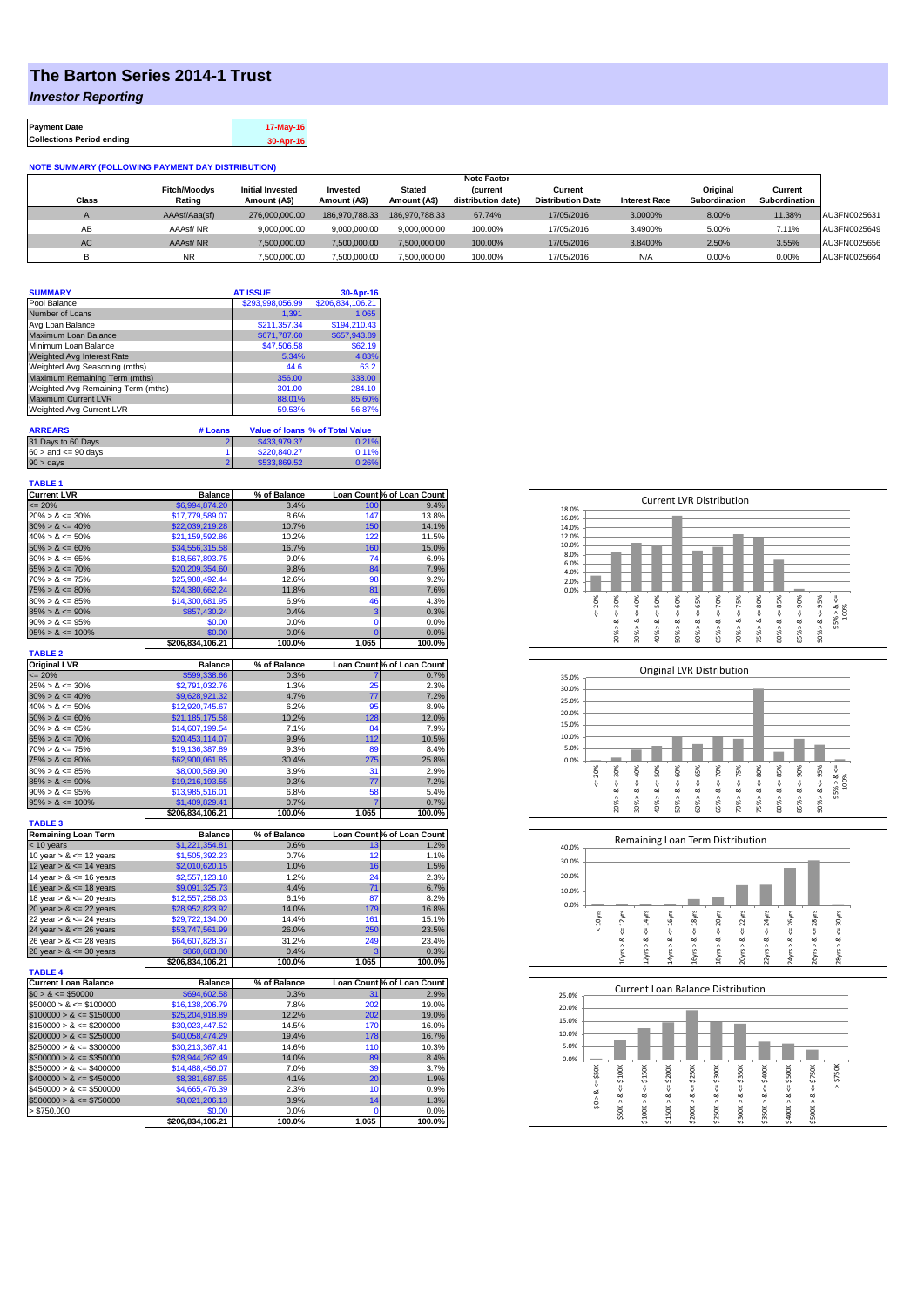## **The Barton Series 2014-1 Trust**

*Investor Reporting*

| <b>Payment Date</b>              | 17-May-16 |
|----------------------------------|-----------|
| <b>Collections Period ending</b> | 30-Apr-16 |

## **NOTE SUMMARY (FOLLOWING PAYMENT DAY DISTRIBUTION)**

|              |                     |                         |                |                | <b>Note Factor</b> |                          |                      |               |               |              |
|--------------|---------------------|-------------------------|----------------|----------------|--------------------|--------------------------|----------------------|---------------|---------------|--------------|
|              | <b>Fitch/Moodvs</b> | <b>Initial Invested</b> | Invested       | Stated         | <b>Current</b>     | Current                  |                      | Original      | Current       |              |
| <b>Class</b> | Rating              | Amount (A\$)            | Amount (A\$)   | Amount (A\$)   | distribution date) | <b>Distribution Date</b> | <b>Interest Rate</b> | Subordination | Subordination |              |
| $\sqrt{ }$   | AAAsf/Aaa(sf)       | 276,000,000,00          | 186.970.788.33 | 186.970.788.33 | 67.74%             | 17/05/2016               | 3.0000%              | 8.00%         | 11.38%        | AU3FN0025631 |
| AB           | AAAsf/NR            | 9,000,000.00            | 9.000.000.00   | 9.000.000.00   | 100.00%            | 17/05/2016               | 3.4900%              | 5.00%         | 7.11%         | AU3FN0025649 |
| AC.          | AAAsf/NR            | 7.500.000.00            | 7.500.000.00   | 7.500.000.00   | 100.00%            | 17/05/2016               | 3.8400%              | 2.50%         | 3.55%         | AU3FN0025656 |
|              | NR                  | ,500,000.00             | 7,500,000.00   | 7,500,000.00   | 100.00%            | 17/05/2016               | N/A                  | 0.00%         | 0.00%         | AU3FN0025664 |

| <b>SUMMARY</b>                     |         | <b>AT ISSUE</b>  | 30-Apr-16                              |
|------------------------------------|---------|------------------|----------------------------------------|
| Pool Balance                       |         | \$293,998,056.99 | \$206,834,106.21                       |
| Number of Loans                    |         | 1,391            | 1.065                                  |
| Avg Loan Balance                   |         | \$211.357.34     | \$194.210.43                           |
| Maximum Loan Balance               |         | \$671.787.60     | \$657,943.89                           |
| Minimum Loan Balance               |         | \$47,506.58      | \$62.19                                |
| Weighted Avg Interest Rate         |         | 5.34%            | 4.83%                                  |
| Weighted Avg Seasoning (mths)      |         | 44.6             | 63.2                                   |
| Maximum Remaining Term (mths)      |         | 356.00           | 338.00                                 |
| Weighted Avg Remaining Term (mths) |         | 301.00           | 284.10                                 |
| <b>Maximum Current LVR</b>         |         | 88.01%           | 85.60%                                 |
| Weighted Avg Current LVR           |         | 59.53%           | 56.87%                                 |
| <b>ARREARS</b>                     | # Loans |                  | <b>Value of loans % of Total Value</b> |
|                                    |         |                  |                                        |

| 31 Days to 60 Days        | \$433,979.37 | 0.21% |
|---------------------------|--------------|-------|
| $60 >$ and $\leq 90$ days | \$220,840.27 | 0.11% |
| $90 > \text{days}$        | \$533,869.52 | 0.26% |

| <b>TABLE 1</b>              |                  |              |                 |                            |
|-----------------------------|------------------|--------------|-----------------|----------------------------|
| <b>Current LVR</b>          | <b>Balance</b>   | % of Balance |                 | Loan Count % of Loan Count |
| $= 20%$                     | \$6,994,874.20   | 3.4%         | 100             | 9.4%                       |
| $20\% > 8 \le 30\%$         | \$17,779,589.07  | 8.6%         | 147             | 13.8%                      |
| $30\% > 8 \le 40\%$         | \$22,039,219.28  | 10.7%        | 150             | 14.1%                      |
| $40\% > 8 \le 50\%$         | \$21,159,592.86  | 10.2%        | 122             | 11.5%                      |
| $50\% > 8 \le 60\%$         | \$34,556,315.58  | 16.7%        | 160             | 15.0%                      |
| $60\% > 8 \le 65\%$         | \$18,567,893.75  | 9.0%         | 74              | 6.9%                       |
| $65\% > 8 \le 70\%$         | \$20,209,354.60  | 9.8%         | 84              | 7.9%                       |
| $70\% > 8 \le 75\%$         | \$25,988,492.44  | 12.6%        | 98              | 9.2%                       |
| $75\% > 8 \le 80\%$         | \$24,380,662.24  | 11.8%        | 81              | 7.6%                       |
| $80\% > 8 \le 85\%$         | \$14,300,681.95  | 6.9%         | 46              | 4.3%                       |
| $85\% > 8 \le 90\%$         | \$857,430.24     | 0.4%         | 3               | 0.3%                       |
| $90\% > 8 \le 95\%$         | \$0.00           | 0.0%         | $\mathbf 0$     | 0.0%                       |
| $95\% > 8 \le 100\%$        | \$0.00           | 0.0%         | $\overline{0}$  | 0.0%                       |
|                             | \$206,834,106.21 | 100.0%       | 1,065           | 100.0%                     |
| <b>TABLE 2</b>              |                  |              |                 |                            |
| <b>Original LVR</b>         | <b>Balance</b>   | % of Balance |                 | Loan Count % of Loan Count |
| $= 20%$                     | \$599,338.66     | 0.3%         |                 | 0.7%                       |
| $25\% > 8 \le 30\%$         | \$2,791,032.76   | 1.3%         | 25              | 2.3%                       |
| $30\% > 8 \le 40\%$         | \$9,628,921.32   | 4.7%         | 77              | 7.2%                       |
| $40\% > 8 \le 50\%$         | \$12,920,745.67  | 6.2%         | 95              | 8.9%                       |
| $50\% > 8 \le 60\%$         | \$21,185,175.58  | 10.2%        | 128             | 12.0%                      |
| $60\% > 8 \le 65\%$         | \$14,607,199.54  | 7.1%         | 84              | 7.9%                       |
| $65\% > 8 \le 70\%$         | \$20,453,114.07  | 9.9%         | 112             | 10.5%                      |
| $70\% > 8 \le 75\%$         | \$19,136,387.89  | 9.3%         | 89              | 8.4%                       |
| $75\% > 8 \le 80\%$         | \$62,900,061.85  | 30.4%        | 275             | 25.8%                      |
| $80\% > 8 \le 85\%$         | \$8,000,589.90   | 3.9%         | 31              | 2.9%                       |
| $85\% > 8 \le 90\%$         | \$19,216,193.55  | 9.3%         | $\overline{77}$ | 7.2%                       |
| $90\% > 8 \le 95\%$         | \$13,985,516.01  | 6.8%         | 58              | 5.4%                       |
| $95\% > 8 \le 100\%$        | \$1,409,829.41   | 0.7%         | 7               | 0.7%                       |
|                             | \$206,834,106.21 | 100.0%       | 1.065           | 100.0%                     |
| <b>TABLE 3</b>              |                  |              |                 |                            |
| <b>Remaining Loan Term</b>  | <b>Balance</b>   | % of Balance |                 | Loan Count % of Loan Count |
| < 10 years                  | \$1,221,354.81   | 0.6%         | 13              | 1.2%                       |
| 10 year $> 8 \le 12$ years  | \$1,505,392.23   | 0.7%         | 12              | 1.1%                       |
| 12 year $> 8 \le 14$ years  | \$2,010,620.15   | 1.0%         | 16              | 1.5%                       |
| 14 year $> 8 \le 16$ years  | \$2,557,123.18   | 1.2%         | 24              | 2.3%                       |
| 16 year $> 8 \le 18$ years  | \$9,091,325.73   | 4.4%         | 71              | 6.7%                       |
| 18 year $> 8 \le 20$ years  | \$12,557,258.03  | 6.1%         | 87              | 8.2%                       |
| 20 year $> 8 \le 22$ years  | \$28,952,823.92  | 14.0%        | 179             | 16.8%                      |
| 22 year $> 8 \le 24$ years  | \$29,722,134.00  | 14.4%        | 161             | 15.1%                      |
| 24 year $> 8 \le 26$ years  | \$53,747,561.99  | 26.0%        | 250             | 23.5%                      |
| 26 year $> 8 \le 28$ years  | \$64,607,828.37  | 31.2%        | 249             | 23.4%                      |
| 28 year $> 8 \le 30$ years  | \$860,683.80     | 0.4%         | 3               | 0.3%                       |
| <b>TABLE 4</b>              | \$206,834,106.21 | 100.0%       | 1,065           | 100.0%                     |
| <b>Current Loan Balance</b> | <b>Balance</b>   | % of Balance |                 | Loan Count % of Loan Count |
| $$0 > 8 \le $50000$         | \$694,602.58     | 0.3%         | 31              | 2.9%                       |
| $$50000 > 8 \le $100000$    | \$16,138,206.79  | 7.8%         | 202             | 19.0%                      |
| $$100000 > 8 \leq $150000$  | \$25,204,918.89  | 12.2%        | 202             | 19.0%                      |
| $$150000 > 8 \leq $200000$  | \$30,023,447.52  | 14.5%        | 170             | 16.0%                      |
| $$200000 > 8 \leq $250000$  | \$40,058,474.29  | 19.4%        | 178             | 16.7%                      |
| $$250000 > 8 \leq $300000$  | \$30,213,367.41  | 14.6%        | 110             | 10.3%                      |
| $$300000 > 8 \leq $350000$  | \$28,944,262.49  | 14.0%        | 89              | 8.4%                       |
| $$350000 > 8 \leq $400000$  | \$14,488,456.07  | 7.0%         | 39              | 3.7%                       |
| $$400000 > 8 \leq $450000$  | \$8,381,687.65   | 4.1%         | 20              | 1.9%                       |
| $$450000 > 8 \le $500000$   | \$4,665,476.39   | 2.3%         | 10              | 0.9%                       |
| $$500000 > 8 \leq $750000$  | \$8,021,206.13   | 3.9%         | 14              | 1.3%                       |
| > \$750,000                 | \$0.00           | 0.0%         | 0               | 0.0%                       |
|                             | \$206,834,106.21 | 100.0%       | 1,065           | 100.0%                     |
|                             |                  |              |                 |                            |